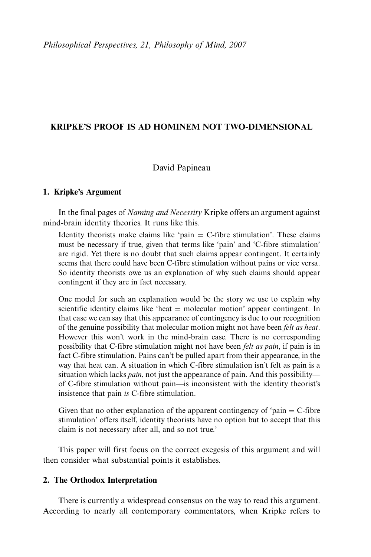# **KRIPKE'S PROOF IS AD HOMINEM NOT TWO-DIMENSIONAL**

# David Papineau

# **1. Kripke's Argument**

In the final pages of *Naming and Necessity* Kripke offers an argument against mind-brain identity theories. It runs like this.

Identity theorists make claims like 'pain  $=$  C-fibre stimulation'. These claims must be necessary if true, given that terms like 'pain' and 'C-fibre stimulation' are rigid. Yet there is no doubt that such claims appear contingent. It certainly seems that there could have been C-fibre stimulation without pains or vice versa. So identity theorists owe us an explanation of why such claims should appear contingent if they are in fact necessary.

One model for such an explanation would be the story we use to explain why scientific identity claims like 'heat = molecular motion' appear contingent. In that case we can say that this appearance of contingency is due to our recognition of the genuine possibility that molecular motion might not have been *felt as heat*. However this won't work in the mind-brain case. There is no corresponding possibility that C-fibre stimulation might not have been *felt as pain*,if pain is in fact C-fibre stimulation. Pains can't be pulled apart from their appearance, in the way that heat can. A situation in which C-fibre stimulation isn't felt as pain is a situation which lacks *pain*, not just the appearance of pain. And this possibility of C-fibre stimulation without pain—is inconsistent with the identity theorist's insistence that pain *is* C-fibre stimulation.

Given that no other explanation of the apparent contingency of 'pain  $=$  C-fibre stimulation' offers itself, identity theorists have no option but to accept that this claim is not necessary after all, and so not true.'

This paper will first focus on the correct exegesis of this argument and will then consider what substantial points it establishes.

# **2. The Orthodox Interpretation**

There is currently a widespread consensus on the way to read this argument. According to nearly all contemporary commentators, when Kripke refers to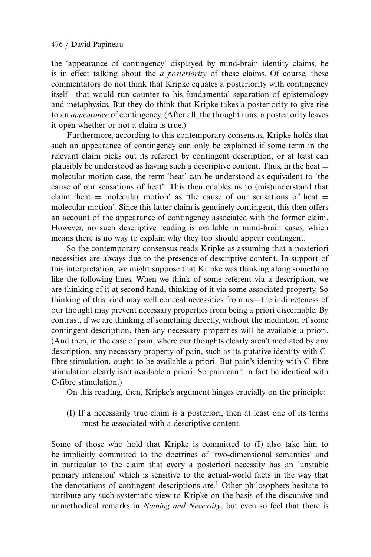the 'appearance of contingency' displayed by mind-brain identity claims, he is in effect talking about the *a posteriority* of these claims. Of course, these commentators do not think that Kripke equates a posteriority with contingency itself—that would run counter to his fundamental separation of epistemology and metaphysics. But they do think that Kripke takes a posteriority to give rise to an *appearance* of contingency. (After all, the thought runs, a posteriority leaves it open whether or not a claim is true.)

Furthermore, according to this contemporary consensus, Kripke holds that such an appearance of contingency can only be explained if some term in the relevant claim picks out its referent by contingent description, or at least can plausibly be understood as having such a descriptive content. Thus, in the heat  $=$ molecular motion case, the term 'heat' can be understood as equivalent to 'the cause of our sensations of heat'. This then enables us to (mis)understand that claim 'heat  $=$  molecular motion' as 'the cause of our sensations of heat  $=$ molecular motion'. Since this latter claim is genuinely contingent, this then offers an account of the appearance of contingency associated with the former claim. However, no such descriptive reading is available in mind-brain cases, which means there is no way to explain why they too should appear contingent.

So the contemporary consensus reads Kripke as assuming that a posteriori necessities are always due to the presence of descriptive content. In support of this interpretation, we might suppose that Kripke was thinking along something like the following lines. When we think of some referent via a description, we are thinking of it at second hand, thinking of it via some associated property. So thinking of this kind may well conceal necessities from us—the indirecteness of our thought may prevent necessary properties from being a priori discernable. By contrast, if we are thinking of something directly, without the mediation of some contingent description, then any necessary properties will be available a priori. (And then, in the case of pain, where our thoughts clearly aren't mediated by any description, any necessary property of pain, such as its putative identity with Cfibre stimulation, ought to be available a priori. But pain's identity with C-fibre stimulation clearly isn't available a priori. So pain can't in fact be identical with C-fibre stimulation.)

On this reading, then, Kripke's argument hinges crucially on the principle:

(I) If a necessarily true claim is a posteriori,then at least one of its terms must be associated with a descriptive content.

Some of those who hold that Kripke is committed to (I) also take him to be implicitly committed to the doctrines of 'two-dimensional semantics' and in particular to the claim that every a posteriori necessity has an 'unstable primary intension' which is sensitive to the actual-world facts in the way that the denotations of contingent descriptions are.<sup>1</sup> Other philosophers hesitate to attribute any such systematic view to Kripke on the basis of the discursive and unmethodical remarks in *Naming and Necessity*, but even so feel that there is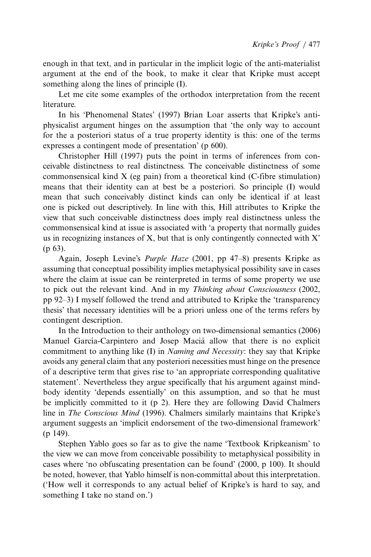enough in that text, and in particular in the implicit logic of the anti-materialist argument at the end of the book, to make it clear that Kripke must accept something along the lines of principle (I).

Let me cite some examples of the orthodox interpretation from the recent literature.

In his 'Phenomenal States' (1997) Brian Loar asserts that Kripke's antiphysicalist argument hinges on the assumption that 'the only way to account for the a posteriori status of a true property identity is this: one of the terms expresses a contingent mode of presentation' (p 600).

Christopher Hill (1997) puts the point in terms of inferences from conceivable distinctness to real distinctness. The conceivable distinctness of some commonsensical kind X (eg pain) from a theoretical kind (C-fibre stimulation) means that their identity can at best be a posteriori. So principle (I) would mean that such conceivably distinct kinds can only be identical if at least one is picked out descriptively. In line with this,Hill attributes to Kripke the view that such conceivable distinctness does imply real distinctness unless the commonsensical kind at issue is associated with 'a property that normally guides us in recognizing instances of X, but that is only contingently connected with  $X'$ (p 63).

Again, Joseph Levine's *Purple Haze* (2001, pp 47–8) presents Kripke as assuming that conceptual possibility implies metaphysical possibility save in cases where the claim at issue can be reinterpreted in terms of some property we use to pick out the relevant kind. And in my *Thinking about Consciousness* (2002, pp 92–3) I myself followed the trend and attributed to Kripke the 'transparency thesis' that necessary identities will be a priori unless one of the terms refers by contingent description.

In the Introduction to their anthology on two-dimensional semantics (2006) Manuel García-Carpintero and Josep Macià allow that there is no explicit commitment to anything like (I) in *Naming and Necessity*: they say that Kripke avoids any general claim that any posteriori necessities must hinge on the presence of a descriptive term that gives rise to 'an appropriate corresponding qualitative statement'. Nevertheless they argue specifically that his argument against mindbody identity 'depends essentially' on this assumption, and so that he must be implicitly committed to it (p 2). Here they are following David Chalmers line in *The Conscious Mind* (1996). Chalmers similarly maintains that Kripke's argument suggests an 'implicit endorsement of the two-dimensional framework' (p 149).

Stephen Yablo goes so far as to give the name 'Textbook Kripkeanism' to the view we can move from conceivable possibility to metaphysical possibility in cases where 'no obfuscating presentation can be found'  $(2000, p 100)$ . It should be noted, however, that Yablo himself is non-committal about this interpretation. ('How well it corresponds to any actual belief of Kripke's is hard to say, and something I take no stand on.')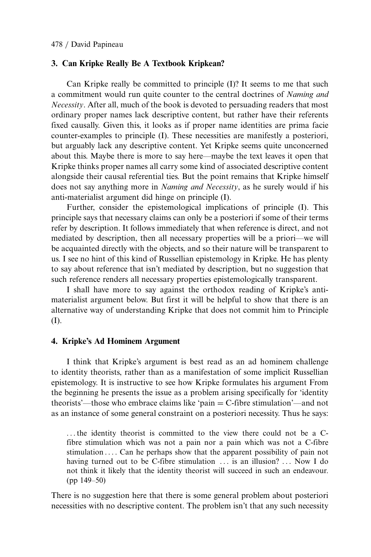## **3. Can Kripke Really Be A Textbook Kripkean?**

Can Kripke really be committed to principle (I)? It seems to me that such a commitment would run quite counter to the central doctrines of *Naming and Necessity*. After all, much of the book is devoted to persuading readers that most ordinary proper names lack descriptive content, but rather have their referents fixed causally. Given this, it looks as if proper name identities are prima facie counter-examples to principle (I). These necessities are manifestly a posteriori, but arguably lack any descriptive content. Yet Kripke seems quite unconcerned about this. Maybe there is more to say here—maybe the text leaves it open that Kripke thinks proper names all carry some kind of associated descriptive content alongside their causal referential ties. But the point remains that Kripke himself does not say anything more in *Naming and Necessity*, as he surely would if his anti-materialist argument did hinge on principle (I).

Further, consider the epistemological implications of principle (I). This principle says that necessary claims can only be a posteriori if some of their terms refer by description. It follows immediately that when reference is direct, and not mediated by description, then all necessary properties will be a priori—we will be acquainted directly with the objects,and so their nature will be transparent to us. I see no hint of this kind of Russellian epistemology in Kripke. He has plenty to say about reference that isn't mediated by description, but no suggestion that such reference renders all necessary properties epistemologically transparent.

I shall have more to say against the orthodox reading of Kripke's antimaterialist argument below. But first it will be helpful to show that there is an alternative way of understanding Kripke that does not commit him to Principle (I).

## **4. Kripke's Ad Hominem Argument**

I think that Kripke's argument is best read as an ad hominem challenge to identity theorists, rather than as a manifestation of some implicit Russellian epistemology. It is instructive to see how Kripke formulates his argument From the beginning he presents the issue as a problem arising specifically for 'identity theorists'—those who embrace claims like 'pain = C-fibre stimulation'—and not as an instance of some general constraint on a posteriori necessity. Thus he says:

... the identity theorist is committed to the view there could not be a Cfibre stimulation which was not a pain nor a pain which was not a C-fibre stimulation ... . Can he perhaps show that the apparent possibility of pain not having turned out to be C-fibre stimulation ... is an illusion? ... Now I do not think it likely that the identity theorist will succeed in such an endeavour. (pp 149–50)

There is no suggestion here that there is some general problem about posteriori necessities with no descriptive content. The problem isn't that any such necessity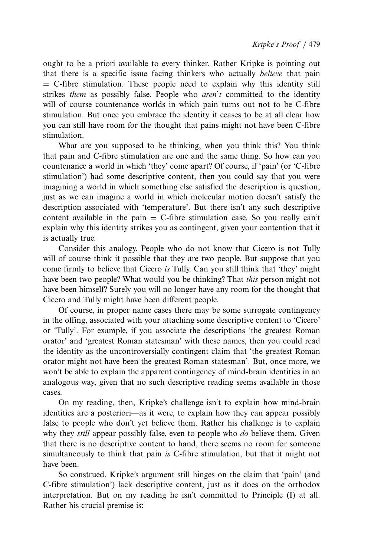ought to be a priori available to every thinker. Rather Kripke is pointing out that there is a specific issue facing thinkers who actually *believe* that pain  $=$  C-fibre stimulation. These people need to explain why this identity still strikes *them* as possibly false. People who *aren*'*t* committed to the identity will of course countenance worlds in which pain turns out not to be C-fibre stimulation. But once you embrace the identity it ceases to be at all clear how you can still have room for the thought that pains might not have been C-fibre stimulation.

What are you supposed to be thinking, when you think this? You think that pain and C-fibre stimulation are one and the same thing. So how can you countenance a world in which 'they' come apart? Of course, if 'pain' (or 'C-fibre stimulation') had some descriptive content, then you could say that you were imagining a world in which something else satisfied the description is question, just as we can imagine a world in which molecular motion doesn't satisfy the description associated with 'temperature'. But there isn't any such descriptive content available in the pain  $=$  C-fibre stimulation case. So you really can't explain why this identity strikes you as contingent, given your contention that it is actually true.

Consider this analogy. People who do not know that Cicero is not Tully will of course think it possible that they are two people. But suppose that you come firmly to believe that Cicero *is* Tully. Can you still think that 'they' might have been two people? What would you be thinking? That *this* person might not have been himself? Surely you will no longer have any room for the thought that Cicero and Tully might have been different people.

Of course, in proper name cases there may be some surrogate contingency in the offing, associated with your attaching some descriptive content to 'Cicero' or 'Tully'. For example, if you associate the descriptions 'the greatest Roman orator' and 'greatest Roman statesman' with these names, then you could read the identity as the uncontroversially contingent claim that 'the greatest Roman orator might not have been the greatest Roman statesman'. But, once more, we won't be able to explain the apparent contingency of mind-brain identities in an analogous way, given that no such descriptive reading seems available in those cases.

On my reading, then, Kripke's challenge isn't to explain how mind-brain identities are a posteriori—as it were, to explain how they can appear possibly false to people who don't yet believe them. Rather his challenge is to explain why they *still* appear possibly false, even to people who *do* believe them. Given that there is no descriptive content to hand, there seems no room for someone simultaneously to think that pain *is* C-fibre stimulation, but that it might not have been.

So construed, Kripke's argument still hinges on the claim that 'pain' (and C-fibre stimulation') lack descriptive content, just as it does on the orthodox interpretation. But on my reading he isn't committed to Principle (I) at all. Rather his crucial premise is: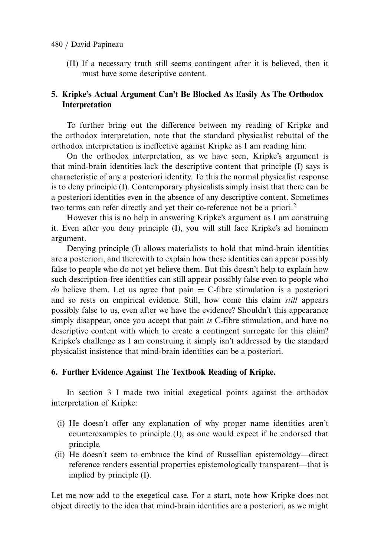(II) If a necessary truth still seems contingent after it is believed,then it must have some descriptive content.

# **5. Kripke's Actual Argument Can't Be Blocked As Easily As The Orthodox Interpretation**

To further bring out the difference between my reading of Kripke and the orthodox interpretation, note that the standard physicalist rebuttal of the orthodox interpretation is ineffective against Kripke as I am reading him.

On the orthodox interpretation, as we have seen, Kripke's argument is that mind-brain identities lack the descriptive content that principle (I) says is characteristic of any a posteriori identity. To this the normal physicalist response is to deny principle (I). Contemporary physicalists simply insist that there can be a posteriori identities even in the absence of any descriptive content. Sometimes two terms can refer directly and yet their co-reference not be a priori.<sup>2</sup>

However this is no help in answering Kripke's argument as I am construing it. Even after you deny principle (I), you will still face Kripke's ad hominem argument.

Denying principle (I) allows materialists to hold that mind-brain identities are a posteriori, and therewith to explain how these identities can appear possibly false to people who do not yet believe them. But this doesn't help to explain how such description-free identities can still appear possibly false even to people who *do* believe them. Let us agree that  $\text{pain} = \text{C-fibre}$  stimulation is a posteriori and so rests on empirical evidence. Still, how come this claim *still* appears possibly false to us, even after we have the evidence? Shouldn't this appearance simply disappear, once you accept that pain *is* C-fibre stimulation, and have no descriptive content with which to create a contingent surrogate for this claim? Kripke's challenge as I am construing it simply isn't addressed by the standard physicalist insistence that mind-brain identities can be a posteriori.

# **6. Further Evidence Against The Textbook Reading of Kripke.**

In section 3 I made two initial exegetical points against the orthodox interpretation of Kripke:

- (i) He doesn't offer any explanation of why proper name identities aren't counterexamples to principle (I), as one would expect if he endorsed that principle.
- (ii) He doesn't seem to embrace the kind of Russellian epistemology—direct reference renders essential properties epistemologically transparent—that is implied by principle (I).

Let me now add to the exegetical case. For a start, note how Kripke does not object directly to the idea that mind-brain identities are a posteriori, as we might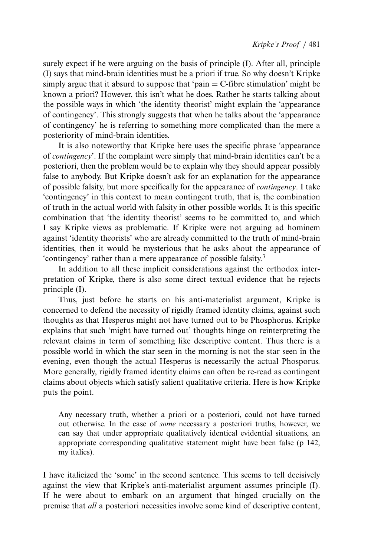surely expect if he were arguing on the basis of principle (I). After all, principle (I) says that mind-brain identities must be a priori if true. So why doesn't Kripke simply argue that it absurd to suppose that 'pain  $= C$ -fibre stimulation' might be known a priori? However, this isn't what he does. Rather he starts talking about the possible ways in which 'the identity theorist' might explain the 'appearance of contingency'. This strongly suggests that when he talks about the 'appearance of contingency' he is referring to something more complicated than the mere a posteriority of mind-brain identities.

It is also noteworthy that Kripke here uses the specific phrase 'appearance of *contingency*'. If the complaint were simply that mind-brain identities can't be a posteriori, then the problem would be to explain why they should appear possibly false to anybody. But Kripke doesn't ask for an explanation for the appearance of possible falsity, but more specifically for the appearance of *contingency*. I take 'contingency' in this context to mean contingent truth, that is, the combination of truth in the actual world with falsity in other possible worlds. It is this specific combination that 'the identity theorist' seems to be committed to, and which I say Kripke views as problematic. If Kripke were not arguing ad hominem against 'identity theorists' who are already committed to the truth of mind-brain identities, then it would be mysterious that he asks about the appearance of 'contingency' rather than a mere appearance of possible falsity.<sup>3</sup>

In addition to all these implicit considerations against the orthodox interpretation of Kripke, there is also some direct textual evidence that he rejects principle (I).

Thus, just before he starts on his anti-materialist argument, Kripke is concerned to defend the necessity of rigidly framed identity claims, against such thoughts as that Hesperus might not have turned out to be Phosphorus. Kripke explains that such 'might have turned out' thoughts hinge on reinterpreting the relevant claims in term of something like descriptive content. Thus there is a possible world in which the star seen in the morning is not the star seen in the evening, even though the actual Hesperus is necessarily the actual Phosporus. More generally, rigidly framed identity claims can often be re-read as contingent claims about objects which satisfy salient qualitative criteria. Here is how Kripke puts the point.

Any necessary truth, whether a priori or a posteriori, could not have turned out otherwise. In the case of *some* necessary a posteriori truths, however, we can say that under appropriate qualitatively identical evidential situations, an appropriate corresponding qualitative statement might have been false (p 142, my italics).

I have italicized the 'some' in the second sentence. This seems to tell decisively against the view that Kripke's anti-materialist argument assumes principle (I). If he were about to embark on an argument that hinged crucially on the premise that *all* a posteriori necessities involve some kind of descriptive content,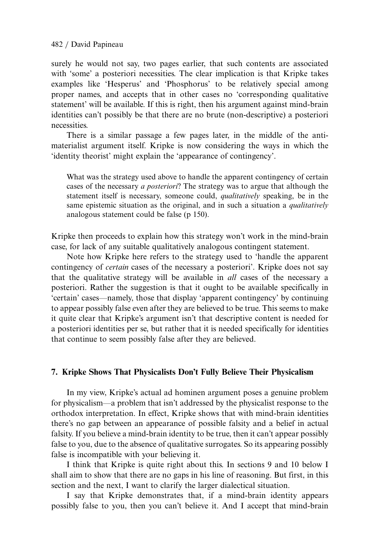surely he would not say, two pages earlier, that such contents are associated with 'some' a posteriori necessities. The clear implication is that Kripke takes examples like 'Hesperus' and 'Phosphorus' to be relatively special among proper names,and accepts that in other cases no 'corresponding qualitative statement' will be available. If this is right, then his argument against mind-brain identities can't possibly be that there are no brute (non-descriptive) a posteriori necessities.

There is a similar passage a few pages later, in the middle of the antimaterialist argument itself. Kripke is now considering the ways in which the 'identity theorist' might explain the 'appearance of contingency'.

What was the strategy used above to handle the apparent contingency of certain cases of the necessary *a posteriori*? The strategy was to argue that although the statement itself is necessary, someone could, *qualitatively* speaking, be in the same epistemic situation as the original,and in such a situation a *qualitatively* analogous statement could be false (p 150).

Kripke then proceeds to explain how this strategy won't work in the mind-brain case, for lack of any suitable qualitatively analogous contingent statement.

Note how Kripke here refers to the strategy used to 'handle the apparent contingency of *certain* cases of the necessary a posteriori'. Kripke does not say that the qualitative strategy will be available in *all* cases of the necessary a posteriori. Rather the suggestion is that it ought to be available specifically in 'certain' cases—namely, those that display 'apparent contingency' by continuing to appear possibly false even after they are believed to be true. This seems to make it quite clear that Kripke's argument isn't that descriptive content is needed for a posteriori identities per se, but rather that it is needed specifically for identities that continue to seem possibly false after they are believed.

# **7. Kripke Shows That Physicalists Don't Fully Believe Their Physicalism**

In my view, Kripke's actual ad hominen argument poses a genuine problem for physicalism—a problem that isn't addressed by the physicalist response to the orthodox interpretation. In effect,Kripke shows that with mind-brain identities there's no gap between an appearance of possible falsity and a belief in actual falsity. If you believe a mind-brain identity to be true, then it can't appear possibly false to you, due to the absence of qualitative surrogates. So its appearing possibly false is incompatible with your believing it.

I think that Kripke is quite right about this. In sections 9 and 10 below I shall aim to show that there are no gaps in his line of reasoning. But first, in this section and the next, I want to clarify the larger dialectical situation.

I say that Kripke demonstrates that, if a mind-brain identity appears possibly false to you, then you can't believe it. And I accept that mind-brain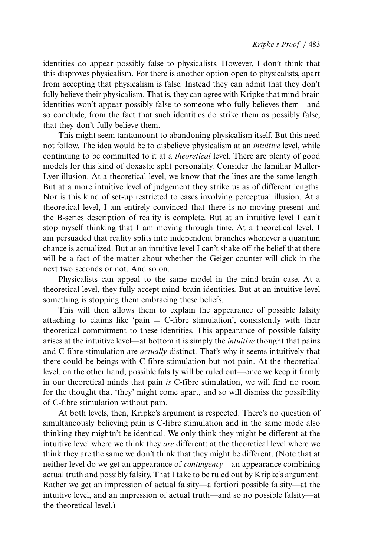identities do appear possibly false to physicalists. However, I don't think that this disproves physicalism. For there is another option open to physicalists, apart from accepting that physicalism is false. Instead they can admit that they don't fully believe their physicalism. That is, they can agree with Kripke that mind-brain identities won't appear possibly false to someone who fully believes them—and so conclude, from the fact that such identities do strike them as possibly false, that they don't fully believe them.

This might seem tantamount to abandoning physicalism itself. But this need not follow. The idea would be to disbelieve physicalism at an *intuitive* level, while continuing to be committed to it at a *theoretical* level. There are plenty of good models for this kind of doxastic split personality. Consider the familiar Muller-Lyer illusion. At a theoretical level, we know that the lines are the same length. But at a more intuitive level of judgement they strike us as of different lengths. Nor is this kind of set-up restricted to cases involving perceptual illusion. At a theoretical level,I am entirely convinced that there is no moving present and the B-series description of reality is complete. But at an intuitive level I can't stop myself thinking that I am moving through time. At a theoretical level, I am persuaded that reality splits into independent branches whenever a quantum chance is actualized. But at an intuitive level I can't shake off the belief that there will be a fact of the matter about whether the Geiger counter will click in the next two seconds or not. And so on.

Physicalists can appeal to the same model in the mind-brain case. At a theoretical level, they fully accept mind-brain identities. But at an intuitive level something is stopping them embracing these beliefs.

This will then allows them to explain the appearance of possible falsity attaching to claims like 'pain  $=$  C-fibre stimulation', consistently with their theoretical commitment to these identities. This appearance of possible falsity arises at the intuitive level—at bottom it is simply the *intuitive* thought that pains and C-fibre stimulation are *actually* distinct. That's why it seems intuitively that there could be beings with C-fibre stimulation but not pain. At the theoretical level, on the other hand, possible falsity will be ruled out—once we keep it firmly in our theoretical minds that pain *is* C-fibre stimulation, we will find no room for the thought that 'they' might come apart,and so will dismiss the possibility of C-fibre stimulation without pain.

At both levels, then, Kripke's argument is respected. There's no question of simultaneously believing pain is C-fibre stimulation and in the same mode also thinking they mightn't be identical. We only think they might be different at the intuitive level where we think they *are* different; at the theoretical level where we think they are the same we don't think that they might be different. (Note that at neither level do we get an appearance of *contingency*—an appearance combining actual truth and possibly falsity. That I take to be ruled out by Kripke's argument. Rather we get an impression of actual falsity—a fortiori possible falsity—at the intuitive level,and an impression of actual truth—and so no possible falsity—at the theoretical level.)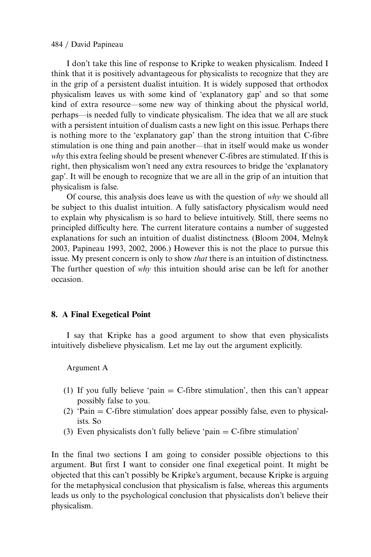I don't take this line of response to Kripke to weaken physicalism. Indeed I think that it is positively advantageous for physicalists to recognize that they are in the grip of a persistent dualist intuition. It is widely supposed that orthodox physicalism leaves us with some kind of 'explanatory gap' and so that some kind of extra resource—some new way of thinking about the physical world, perhaps—is needed fully to vindicate physicalism. The idea that we all are stuck with a persistent intuition of dualism casts a new light on this issue. Perhaps there is nothing more to the 'explanatory gap' than the strong intuition that C-fibre stimulation is one thing and pain another—that in itself would make us wonder *why* this extra feeling should be present whenever C-fibres are stimulated. If this is right, then physicalism won't need any extra resources to bridge the 'explanatory' gap'. It will be enough to recognize that we are all in the grip of an intuition that physicalism is false.

Of course, this analysis does leave us with the question of *why* we should all be subject to this dualist intuition. A fully satisfactory physicalism would need to explain why physicalism is so hard to believe intuitively. Still, there seems no principled difficulty here. The current literature contains a number of suggested explanations for such an intuition of dualist distinctness. (Bloom 2004, Melnyk 2003,Papineau 1993,2002,2006.) However this is not the place to pursue this issue. My present concern is only to show *that* there is an intuition of distinctness. The further question of *why* this intuition should arise can be left for another occasion.

### **8. A Final Exegetical Point**

I say that Kripke has a good argument to show that even physicalists intuitively disbelieve physicalism. Let me lay out the argument explicitly.

Argument A

- (1) If you fully believe 'pain  $= C$ -fibre stimulation', then this can't appear possibly false to you.
- (2) 'Pain  $=$  C-fibre stimulation' does appear possibly false, even to physicalists. So
- (3) Even physicalists don't fully believe 'pain  $= C$ -fibre stimulation'

In the final two sections I am going to consider possible objections to this argument. But first I want to consider one final exegetical point. It might be objected that this can't possibly be Kripke's argument, because Kripke is arguing for the metaphysical conclusion that physicalism is false, whereas this arguments leads us only to the psychological conclusion that physicalists don't believe their physicalism.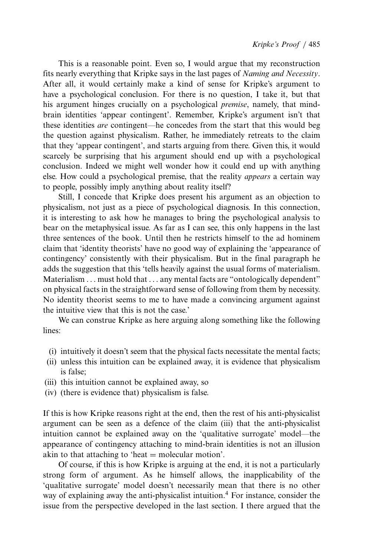This is a reasonable point. Even so, I would argue that my reconstruction fits nearly everything that Kripke says in the last pages of *Naming and Necessity*. After all, it would certainly make a kind of sense for Kripke's argument to have a psychological conclusion. For there is no question, I take it, but that his argument hinges crucially on a psychological *premise*, namely, that mindbrain identities 'appear contingent'. Remember,Kripke's argument isn't that these identities *are* contingent—he concedes from the start that this would beg the question against physicalism. Rather, he immediately retreats to the claim that they 'appear contingent', and starts arguing from there. Given this, it would scarcely be surprising that his argument should end up with a psychological conclusion. Indeed we might well wonder how it could end up with anything else. How could a psychological premise, that the reality *appears* a certain way to people, possibly imply anything about reality itself?

Still, I concede that Kripke does present his argument as an objection to physicalism,not just as a piece of psychological diagnosis. In this connection, it is interesting to ask how he manages to bring the psychological analysis to bear on the metaphysical issue. As far as I can see, this only happens in the last three sentences of the book. Until then he restricts himself to the ad hominem claim that 'identity theorists' have no good way of explaining the 'appearance of contingency' consistently with their physicalism. But in the final paragraph he adds the suggestion that this 'tells heavily against the usual forms of materialism. Materialism ... must hold that ... any mental facts are "ontologically dependent" on physical facts in the straightforward sense of following from them by necessity. No identity theorist seems to me to have made a convincing argument against the intuitive view that this is not the case.'

We can construe Kripke as here arguing along something like the following lines:

- (i) intuitively it doesn't seem that the physical facts necessitate the mental facts;
- (ii) unless this intuition can be explained away, it is evidence that physicalism is false;
- (iii) this intuition cannot be explained away, so
- (iv) (there is evidence that) physicalism is false.

If this is how Kripke reasons right at the end, then the rest of his anti-physicalist argument can be seen as a defence of the claim (iii) that the anti-physicalist intuition cannot be explained away on the 'qualitative surrogate' model—the appearance of contingency attaching to mind-brain identities is not an illusion akin to that attaching to 'heat  $=$  molecular motion'.

Of course, if this is how Kripke is arguing at the end, it is not a particularly strong form of argument. As he himself allows, the inapplicability of the 'qualitative surrogate' model doesn't necessarily mean that there is no other way of explaining away the anti-physicalist intuition.<sup>4</sup> For instance, consider the issue from the perspective developed in the last section. I there argued that the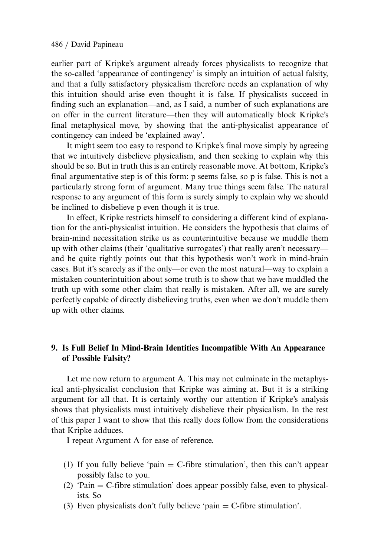earlier part of Kripke's argument already forces physicalists to recognize that the so-called 'appearance of contingency' is simply an intuition of actual falsity, and that a fully satisfactory physicalism therefore needs an explanation of why this intuition should arise even thought it is false. If physicalists succeed in finding such an explanation—and,as I said,a number of such explanations are on offer in the current literature—then they will automatically block Kripke's final metaphysical move, by showing that the anti-physicalist appearance of contingency can indeed be 'explained away'.

It might seem too easy to respond to Kripke's final move simply by agreeing that we intuitively disbelieve physicalism, and then seeking to explain why this should be so. But in truth this is an entirely reasonable move. At bottom, Kripke's final argumentative step is of this form: p seems false, so p is false. This is not a particularly strong form of argument. Many true things seem false. The natural response to any argument of this form is surely simply to explain why we should be inclined to disbelieve p even though it is true.

In effect, Kripke restricts himself to considering a different kind of explanation for the anti-physicalist intuition. He considers the hypothesis that claims of brain-mind necessitation strike us as counterintuitive because we muddle them up with other claims (their 'qualitative surrogates') that really aren't necessary and he quite rightly points out that this hypothesis won't work in mind-brain cases. But it's scarcely as if the only—or even the most natural—way to explain a mistaken counterintuition about some truth is to show that we have muddled the truth up with some other claim that really is mistaken. After all,we are surely perfectly capable of directly disbelieving truths, even when we don't muddle them up with other claims.

# **9. Is Full Belief In Mind-Brain Identities Incompatible With An Appearance of Possible Falsity?**

Let me now return to argument A. This may not culminate in the metaphysical anti-physicalist conclusion that Kripke was aiming at. But it is a striking argument for all that. It is certainly worthy our attention if Kripke's analysis shows that physicalists must intuitively disbelieve their physicalism. In the rest of this paper I want to show that this really does follow from the considerations that Kripke adduces.

I repeat Argument A for ease of reference.

- (1) If you fully believe 'pain  $= C$ -fibre stimulation', then this can't appear possibly false to you.
- (2) 'Pain  $=$  C-fibre stimulation' does appear possibly false, even to physicalists. So
- (3) Even physicalists don't fully believe 'pain  $= C$ -fibre stimulation'.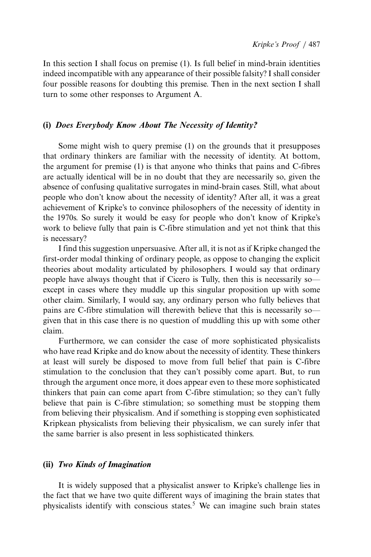In this section I shall focus on premise (1). Is full belief in mind-brain identities indeed incompatible with any appearance of their possible falsity? I shall consider four possible reasons for doubting this premise. Then in the next section I shall turn to some other responses to Argument A.

# **(i)** *Does Everybody Know About The Necessity of Identity?*

Some might wish to query premise (1) on the grounds that it presupposes that ordinary thinkers are familiar with the necessity of identity. At bottom, the argument for premise (1) is that anyone who thinks that pains and C-fibres are actually identical will be in no doubt that they are necessarily so, given the absence of confusing qualitative surrogates in mind-brain cases. Still, what about people who don't know about the necessity of identity? After all, it was a great achievement of Kripke's to convince philosophers of the necessity of identity in the 1970s. So surely it would be easy for people who don't know of Kripke's work to believe fully that pain is C-fibre stimulation and yet not think that this is necessary?

I find this suggestion unpersuasive. After all, it is not as if Kripke changed the first-order modal thinking of ordinary people,as oppose to changing the explicit theories about modality articulated by philosophers. I would say that ordinary people have always thought that if Cicero is Tully, then this is necessarily so except in cases where they muddle up this singular proposition up with some other claim. Similarly,I would say,any ordinary person who fully believes that pains are C-fibre stimulation will therewith believe that this is necessarily so given that in this case there is no question of muddling this up with some other claim.

Furthermore, we can consider the case of more sophisticated physicalists who have read Kripke and do know about the necessity of identity. These thinkers at least will surely be disposed to move from full belief that pain is C-fibre stimulation to the conclusion that they can't possibly come apart. But, to run through the argument once more, it does appear even to these more sophisticated thinkers that pain can come apart from C-fibre stimulation; so they can't fully believe that pain is C-fibre stimulation; so something must be stopping them from believing their physicalism. And if something is stopping even sophisticated Kripkean physicalists from believing their physicalism, we can surely infer that the same barrier is also present in less sophisticated thinkers.

# **(ii)** *Two Kinds of Imagination*

It is widely supposed that a physicalist answer to Kripke's challenge lies in the fact that we have two quite different ways of imagining the brain states that physicalists identify with conscious states.<sup>5</sup> We can imagine such brain states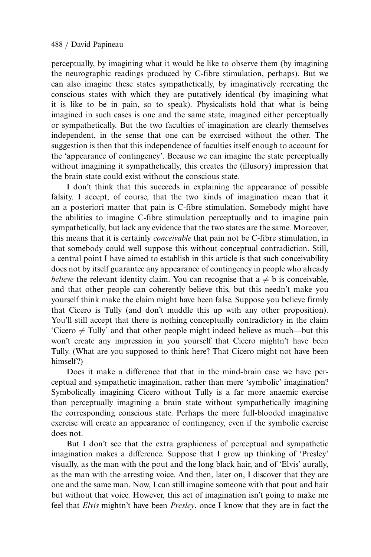perceptually,by imagining what it would be like to observe them (by imagining the neurographic readings produced by C-fibre stimulation, perhaps). But we can also imagine these states sympathetically, by imaginatively recreating the conscious states with which they are putatively identical (by imagining what it is like to be in pain, so to speak). Physicalists hold that what is being imagined in such cases is one and the same state, imagined either perceptually or sympathetically. But the two faculties of imagination are clearly themselves independent, in the sense that one can be exercised without the other. The suggestion is then that this independence of faculties itself enough to account for the 'appearance of contingency'. Because we can imagine the state perceptually without imagining it sympathetically, this creates the (illusory) impression that the brain state could exist without the conscious state.

I don't think that this succeeds in explaining the appearance of possible falsity. I accept, of course, that the two kinds of imagination mean that it an a posteriori matter that pain is C-fibre stimulation. Somebody might have the abilities to imagine C-fibre stimulation perceptually and to imagine pain sympathetically, but lack any evidence that the two states are the same. Moreover, this means that it is certainly *conceivable* that pain not be C-fibre stimulation,in that somebody could well suppose this without conceptual contradiction. Still, a central point I have aimed to establish in this article is that such conceivability does not by itself guarantee any appearance of contingency in people who already *believe* the relevant identity claim. You can recognise that  $a \neq b$  is conceivable, and that other people can coherently believe this, but this needn't make you yourself think make the claim might have been false. Suppose you believe firmly that Cicero is Tully (and don't muddle this up with any other proposition). You'll still accept that there is nothing conceptually contradictory in the claim 'Cicero  $\neq$  Tully' and that other people might indeed believe as much—but this won't create any impression in you yourself that Cicero mightn't have been Tully. (What are you supposed to think here? That Cicero might not have been himself?)

Does it make a difference that that in the mind-brain case we have perceptual and sympathetic imagination, rather than mere 'symbolic' imagination? Symbolically imagining Cicero without Tully is a far more anaemic exercise than perceptually imagining a brain state without sympathetically imagining the corresponding conscious state. Perhaps the more full-blooded imaginative exercise will create an appearance of contingency, even if the symbolic exercise does not.

But I don't see that the extra graphicness of perceptual and sympathetic imagination makes a difference. Suppose that I grow up thinking of 'Presley' visually,as the man with the pout and the long black hair,and of 'Elvis' aurally, as the man with the arresting voice. And then, later on, I discover that they are one and the same man. Now,I can still imagine someone with that pout and hair but without that voice. However, this act of imagination isn't going to make me feel that *Elvis* mightn't have been *Presley*, once I know that they are in fact the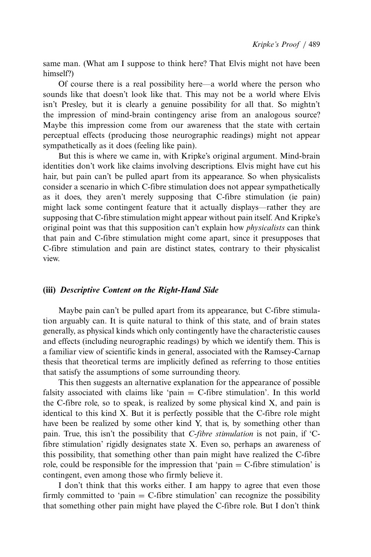same man. (What am I suppose to think here? That Elvis might not have been himself?)

Of course there is a real possibility here—a world where the person who sounds like that doesn't look like that. This may not be a world where Elvis isn't Presley, but it is clearly a genuine possibility for all that. So mightn't the impression of mind-brain contingency arise from an analogous source? Maybe this impression come from our awareness that the state with certain perceptual effects (producing those neurographic readings) might not appear sympathetically as it does (feeling like pain).

But this is where we came in, with Kripke's original argument. Mind-brain identities don't work like claims involving descriptions. Elvis might have cut his hair, but pain can't be pulled apart from its appearance. So when physicalists consider a scenario in which C-fibre stimulation does not appear sympathetically as it does, they aren't merely supposing that C-fibre stimulation (ie pain) might lack some contingent feature that it actually displays—rather they are supposing that C-fibre stimulation might appear without pain itself. And Kripke's original point was that this supposition can't explain how *physicalists* can think that pain and C-fibre stimulation might come apart, since it presupposes that C-fibre stimulation and pain are distinct states,contrary to their physicalist view.

### **(iii)** *Descriptive Content on the Right-Hand Side*

Maybe pain can't be pulled apart from its appearance, but C-fibre stimulation arguably can. It is quite natural to think of this state, and of brain states generally,as physical kinds which only contingently have the characteristic causes and effects (including neurographic readings) by which we identify them. This is a familiar view of scientific kinds in general, associated with the Ramsey-Carnap thesis that theoretical terms are implicitly defined as referring to those entities that satisfy the assumptions of some surrounding theory.

This then suggests an alternative explanation for the appearance of possible falsity associated with claims like 'pain  $=$  C-fibre stimulation'. In this world the C-fibre role, so to speak, is realized by some physical kind  $X$ , and pain is identical to this kind X. But it is perfectly possible that the C-fibre role might have been be realized by some other kind Y, that is, by something other than pain. True, this isn't the possibility that *C-fibre stimulation* is not pain, if 'Cfibre stimulation' rigidly designates state  $X$ . Even so, perhaps an awareness of this possibility, that something other than pain might have realized the C-fibre role, could be responsible for the impression that 'pain  $= C$ -fibre stimulation' is contingent, even among those who firmly believe it.

I don't think that this works either. I am happy to agree that even those firmly committed to 'pain  $= C$ -fibre stimulation' can recognize the possibility that something other pain might have played the C-fibre role. But I don't think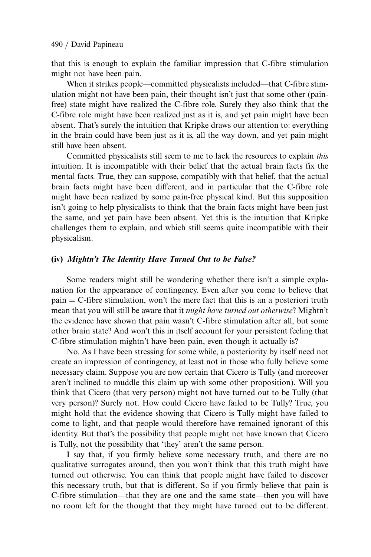that this is enough to explain the familiar impression that C-fibre stimulation might not have been pain.

When it strikes people—committed physicalists included—that C-fibre stimulation might not have been pain, their thought isn't just that some other (painfree) state might have realized the C-fibre role. Surely they also think that the C-fibre role might have been realized just as it is,and yet pain might have been absent. That's surely the intuition that Kripke draws our attention to: everything in the brain could have been just as it is, all the way down, and yet pain might still have been absent.

Committed physicalists still seem to me to lack the resources to explain *this* intuition. It is incompatible with their belief that the actual brain facts fix the mental facts. True, they can suppose, compatibly with that belief, that the actual brain facts might have been different, and in particular that the C-fibre role might have been realized by some pain-free physical kind. But this supposition isn't going to help physicalists to think that the brain facts might have been just the same, and yet pain have been absent. Yet this is the intuition that Kripke challenges them to explain, and which still seems quite incompatible with their physicalism.

## **(iv)** *Mightn't The Identity Have Turned Out to be False?*

Some readers might still be wondering whether there isn't a simple explanation for the appearance of contingency. Even after you come to believe that  $pain = C$ -fibre stimulation, won't the mere fact that this is an a posteriori truth mean that you will still be aware that it *might have turned out otherwise*? Mightn't the evidence have shown that pain wasn't C-fibre stimulation after all, but some other brain state? And won't this in itself account for your persistent feeling that C-fibre stimulation mightn't have been pain, even though it actually is?

No. As I have been stressing for some while, a posteriority by itself need not create an impression of contingency, at least not in those who fully believe some necessary claim. Suppose you are now certain that Cicero is Tully (and moreover aren't inclined to muddle this claim up with some other proposition). Will you think that Cicero (that very person) might not have turned out to be Tully (that very person)? Surely not. How could Cicero have failed to be Tully? True, you might hold that the evidence showing that Cicero is Tully might have failed to come to light, and that people would therefore have remained ignorant of this identity. But that's the possibility that people might not have known that Cicero is Tully, not the possibility that 'they' aren't the same person.

I say that, if you firmly believe some necessary truth, and there are no qualitative surrogates around, then you won't think that this truth might have turned out otherwise. You can think that people might have failed to discover this necessary truth, but that is different. So if you firmly believe that pain is C-fibre stimulation—that they are one and the same state—then you will have no room left for the thought that they might have turned out to be different.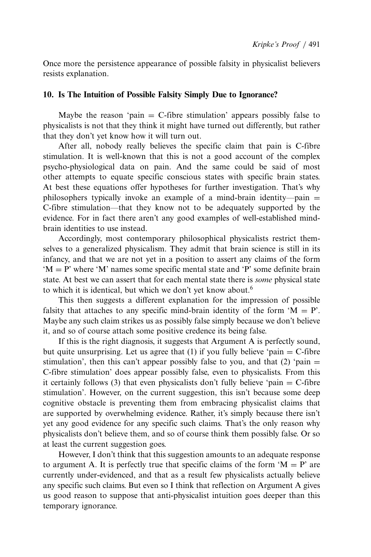Once more the persistence appearance of possible falsity in physicalist believers resists explanation.

# **10. Is The Intuition of Possible Falsity Simply Due to Ignorance?**

Maybe the reason 'pain  $=$  C-fibre stimulation' appears possibly false to physicalists is not that they think it might have turned out differently, but rather that they don't yet know how it will turn out.

After all, nobody really believes the specific claim that pain is C-fibre stimulation. It is well-known that this is not a good account of the complex psycho-physiological data on pain. And the same could be said of most other attempts to equate specific conscious states with specific brain states. At best these equations offer hypotheses for further investigation. That's why philosophers typically invoke an example of a mind-brain identity—pain = C-fibre stimulation—that they know not to be adequately supported by the evidence. For in fact there aren't any good examples of well-established mindbrain identities to use instead.

Accordingly, most contemporary philosophical physicalists restrict themselves to a generalized physicalism. They admit that brain science is still in its infancy,and that we are not yet in a position to assert any claims of the form  $M = P'$  where 'M' names some specific mental state and 'P' some definite brain state. At best we can assert that for each mental state there is *some* physical state to which it is identical, but which we don't yet know about.<sup>6</sup>

This then suggests a different explanation for the impression of possible falsity that attaches to any specific mind-brain identity of the form  $M = P'$ . Maybe any such claim strikes us as possibly false simply because we don't believe it, and so of course attach some positive credence its being false.

If this is the right diagnosis, it suggests that Argument A is perfectly sound, but quite unsurprising. Let us agree that  $(1)$  if you fully believe 'pain  $= C$ -fibre stimulation', then this can't appear possibly false to you, and that  $(2)$  'pain = C-fibre stimulation' does appear possibly false, even to physicalists. From this it certainly follows (3) that even physicalists don't fully believe 'pain  $= C$ -fibre stimulation'. However, on the current suggestion, this isn't because some deep cognitive obstacle is preventing them from embracing physicalist claims that are supported by overwhelming evidence. Rather, it's simply because there isn't yet any good evidence for any specific such claims. That's the only reason why physicalists don't believe them,and so of course think them possibly false. Or so at least the current suggestion goes.

However,I don't think that this suggestion amounts to an adequate response to argument A. It is perfectly true that specific claims of the form  $M = P'$  are currently under-evidenced,and that as a result few physicalists actually believe any specific such claims. But even so I think that reflection on Argument A gives us good reason to suppose that anti-physicalist intuition goes deeper than this temporary ignorance.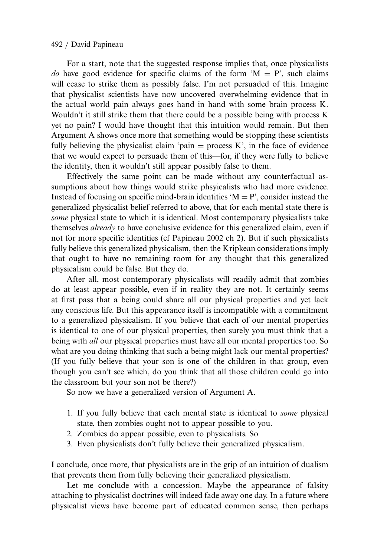For a start, note that the suggested response implies that, once physicalists *do* have good evidence for specific claims of the form ' $M = P'$ , such claims will cease to strike them as possibly false. I'm not persuaded of this. Imagine that physicalist scientists have now uncovered overwhelming evidence that in the actual world pain always goes hand in hand with some brain process K. Wouldn't it still strike them that there could be a possible being with process K yet no pain? I would have thought that this intuition would remain. But then Argument A shows once more that something would be stopping these scientists fully believing the physicalist claim 'pain  $=$  process K', in the face of evidence that we would expect to persuade them of this—for, if they were fully to believe the identity, then it wouldn't still appear possibly false to them.

Effectively the same point can be made without any counterfactual assumptions about how things would strike phsyicalists who had more evidence. Instead of focusing on specific mind-brain identities  $M = P'$ , consider instead the generalized physicalist belief referred to above, that for each mental state there is *some* physical state to which it is identical. Most contemporary physicalists take themselves *already* to have conclusive evidence for this generalized claim, even if not for more specific identities (cf Papineau 2002 ch 2). But if such physicalists fully believe this generalized physicalism, then the Kripkean considerations imply that ought to have no remaining room for any thought that this generalized physicalism could be false. But they do.

After all, most contemporary physicalists will readily admit that zombies do at least appear possible, even if in reality they are not. It certainly seems at first pass that a being could share all our physical properties and yet lack any conscious life. But this appearance itself is incompatible with a commitment to a generalized physicalism. If you believe that each of our mental properties is identical to one of our physical properties, then surely you must think that a being with *all* our physical properties must have all our mental properties too. So what are you doing thinking that such a being might lack our mental properties? (If you fully believe that your son is one of the children in that group, even though you can't see which, do you think that all those children could go into the classroom but your son not be there?)

So now we have a generalized version of Argument A.

- 1. If you fully believe that each mental state is identical to *some* physical state, then zombies ought not to appear possible to you.
- 2. Zombies do appear possible, even to physicalists. So
- 3. Even physicalists don't fully believe their generalized physicalism.

I conclude, once more, that physicalists are in the grip of an intuition of dualism that prevents them from fully believing their generalized physicalism.

Let me conclude with a concession. Maybe the appearance of falsity attaching to physicalist doctrines will indeed fade away one day. In a future where physicalist views have become part of educated common sense, then perhaps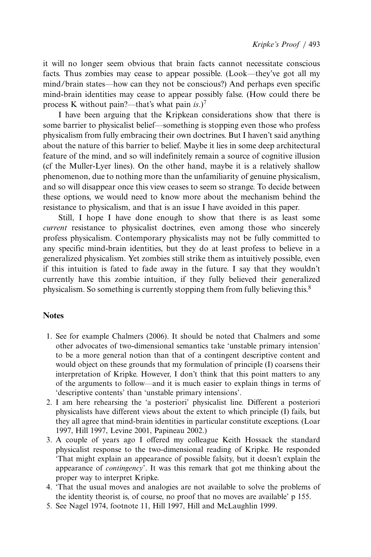it will no longer seem obvious that brain facts cannot necessitate conscious facts. Thus zombies may cease to appear possible. (Look—they've got all my mind/brain states—how can they not be conscious?) And perhaps even specific mind-brain identities may cease to appear possibly false. (How could there be process K without pain?—that's what pain *is*.)<sup>7</sup>

I have been arguing that the Kripkean considerations show that there is some barrier to physicalist belief—something is stopping even those who profess physicalism from fully embracing their own doctrines. But I haven't said anything about the nature of this barrier to belief. Maybe it lies in some deep architectural feature of the mind, and so will indefinitely remain a source of cognitive illusion (cf the Muller-Lyer lines). On the other hand,maybe it is a relatively shallow phenomenon, due to nothing more than the unfamiliarity of genuine physicalism, and so will disappear once this view ceases to seem so strange. To decide between these options, we would need to know more about the mechanism behind the resistance to physicalism, and that is an issue I have avoided in this paper.

Still, I hope I have done enough to show that there is as least some *current* resistance to physicalist doctrines, even among those who sincerely profess physicalism. Contemporary physicalists may not be fully committed to any specific mind-brain identities, but they do at least profess to believe in a generalized physicalism. Yet zombies still strike them as intuitively possible, even if this intuition is fated to fade away in the future. I say that they wouldn't currently have this zombie intuition, if they fully believed their generalized physicalism. So something is currently stopping them from fully believing this.<sup>8</sup>

# **Notes**

- 1. See for example Chalmers (2006). It should be noted that Chalmers and some other advocates of two-dimensional semantics take 'unstable primary intension' to be a more general notion than that of a contingent descriptive content and would object on these grounds that my formulation of principle (I) coarsens their interpretation of Kripke. However, I don't think that this point matters to any of the arguments to follow—and it is much easier to explain things in terms of 'descriptive contents' than 'unstable primary intensions'.
- 2. I am here rehearsing the 'a posteriori' physicalist line. Different a posteriori physicalists have different views about the extent to which principle (I) fails, but they all agree that mind-brain identities in particular constitute exceptions. (Loar 1997, Hill 1997, Levine 2001, Papineau 2002.)
- 3. A couple of years ago I offered my colleague Keith Hossack the standard physicalist response to the two-dimensional reading of Kripke. He responded 'That might explain an appearance of possible falsity, but it doesn't explain the appearance of *contingency*'. It was this remark that got me thinking about the proper way to interpret Kripke.
- 4. 'That the usual moves and analogies are not available to solve the problems of the identity theorist is, of course, no proof that no moves are available' p 155.
- 5. See Nagel 1974, footnote 11, Hill 1997, Hill and McLaughlin 1999.